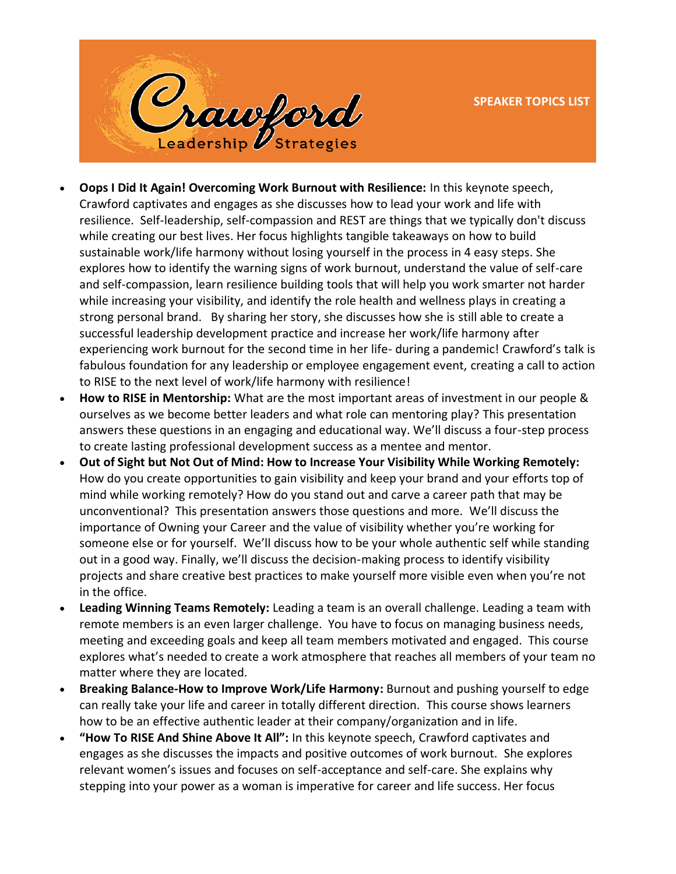

- **Oops I Did It Again! Overcoming Work Burnout with Resilience:** In this keynote speech, Crawford captivates and engages as she discusses how to lead your work and life with resilience. Self-leadership, self-compassion and REST are things that we typically don't discuss while creating our best lives. Her focus highlights tangible takeaways on how to build sustainable work/life harmony without losing yourself in the process in 4 easy steps. She explores how to identify the warning signs of work burnout, understand the value of self-care and self-compassion, learn resilience building tools that will help you work smarter not harder while increasing your visibility, and identify the role health and wellness plays in creating a strong personal brand. By sharing her story, she discusses how she is still able to create a successful leadership development practice and increase her work/life harmony after experiencing work burnout for the second time in her life- during a pandemic! Crawford's talk is fabulous foundation for any leadership or employee engagement event, creating a call to action to RISE to the next level of work/life harmony with resilience!
- **How to RISE in Mentorship:** What are the most important areas of investment in our people & ourselves as we become better leaders and what role can mentoring play? This presentation answers these questions in an engaging and educational way. We'll discuss a four-step process to create lasting professional development success as a mentee and mentor.
- **Out of Sight but Not Out of Mind: How to Increase Your Visibility While Working Remotely:**  How do you create opportunities to gain visibility and keep your brand and your efforts top of mind while working remotely? How do you stand out and carve a career path that may be unconventional? This presentation answers those questions and more. We'll discuss the importance of Owning your Career and the value of visibility whether you're working for someone else or for yourself. We'll discuss how to be your whole authentic self while standing out in a good way. Finally, we'll discuss the decision-making process to identify visibility projects and share creative best practices to make yourself more visible even when you're not in the office.
- **Leading Winning Teams Remotely:** Leading a team is an overall challenge. Leading a team with remote members is an even larger challenge. You have to focus on managing business needs, meeting and exceeding goals and keep all team members motivated and engaged. This course explores what's needed to create a work atmosphere that reaches all members of your team no matter where they are located.
- **Breaking Balance-How to Improve Work/Life Harmony:** Burnout and pushing yourself to edge can really take your life and career in totally different direction. This course shows learners how to be an effective authentic leader at their company/organization and in life.
- **"How To RISE And Shine Above It All":** In this keynote speech, Crawford captivates and engages as she discusses the impacts and positive outcomes of work burnout. She explores relevant women's issues and focuses on self-acceptance and self-care. She explains why stepping into your power as a woman is imperative for career and life success. Her focus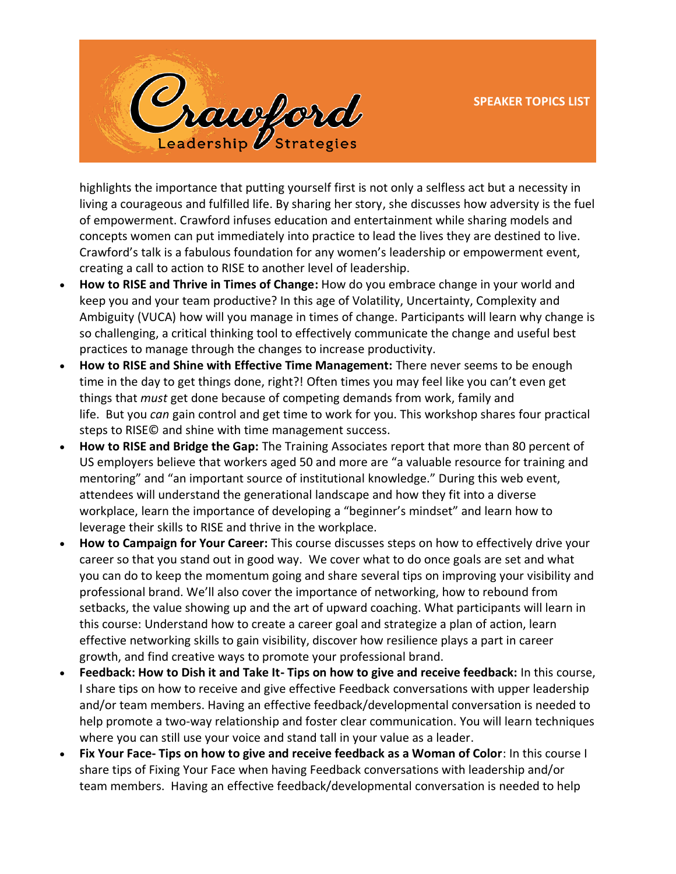

highlights the importance that putting yourself first is not only a selfless act but a necessity in living a courageous and fulfilled life. By sharing her story, she discusses how adversity is the fuel of empowerment. Crawford infuses education and entertainment while sharing models and concepts women can put immediately into practice to lead the lives they are destined to live. Crawford's talk is a fabulous foundation for any women's leadership or empowerment event, creating a call to action to RISE to another level of leadership.

- **How to RISE and Thrive in Times of Change:** How do you embrace change in your world and keep you and your team productive? In this age of Volatility, Uncertainty, Complexity and Ambiguity (VUCA) how will you manage in times of change. Participants will learn why change is so challenging, a critical thinking tool to effectively communicate the change and useful best practices to manage through the changes to increase productivity.
- **How to RISE and Shine with Effective Time Management:** There never seems to be enough time in the day to get things done, right?! Often times you may feel like you can't even get things that *must* get done because of competing demands from work, family and life. But you *can* gain control and get time to work for you. This workshop shares four practical steps to RISE© and shine with time management success.
- **How to RISE and Bridge the Gap:** The Training Associates report that more than 80 percent of US employers believe that workers aged 50 and more are "a valuable resource for training and mentoring" and "an important source of institutional knowledge." During this web event, attendees will understand the generational landscape and how they fit into a diverse workplace, learn the importance of developing a "beginner's mindset" and learn how to leverage their skills to RISE and thrive in the workplace.
- **How to Campaign for Your Career:** This course discusses steps on how to effectively drive your career so that you stand out in good way. We cover what to do once goals are set and what you can do to keep the momentum going and share several tips on improving your visibility and professional brand. We'll also cover the importance of networking, how to rebound from setbacks, the value showing up and the art of upward coaching. What participants will learn in this course: Understand how to create a career goal and strategize a plan of action, learn effective networking skills to gain visibility, discover how resilience plays a part in career growth, and find creative ways to promote your professional brand.
- **Feedback: How to Dish it and Take It- Tips on how to give and receive feedback:** In this course, I share tips on how to receive and give effective Feedback conversations with upper leadership and/or team members. Having an effective feedback/developmental conversation is needed to help promote a two-way relationship and foster clear communication. You will learn techniques where you can still use your voice and stand tall in your value as a leader.
- **Fix Your Face- Tips on how to give and receive feedback as a Woman of Color**: In this course I share tips of Fixing Your Face when having Feedback conversations with leadership and/or team members. Having an effective feedback/developmental conversation is needed to help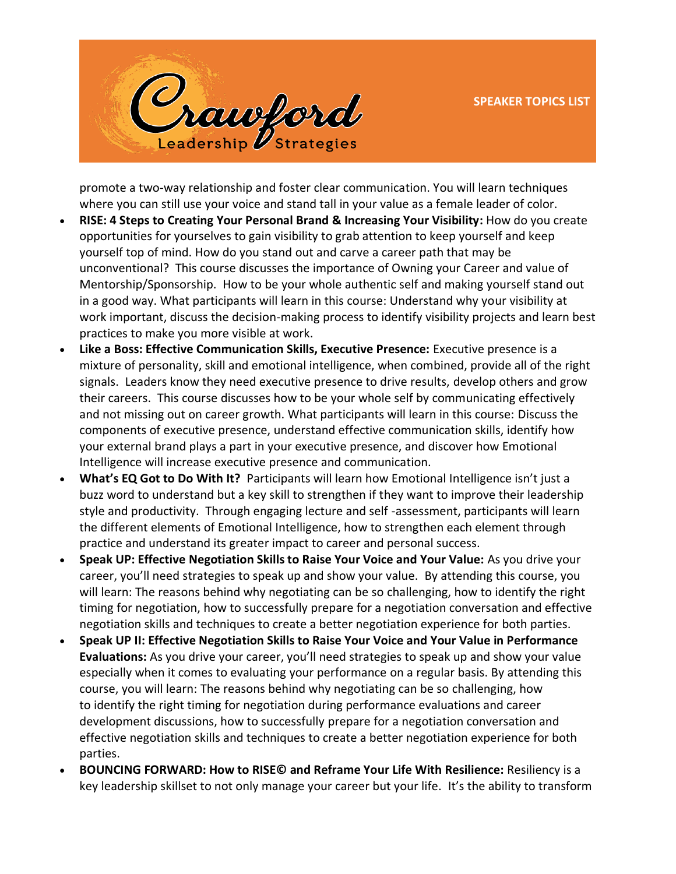

promote a two-way relationship and foster clear communication. You will learn techniques where you can still use your voice and stand tall in your value as a female leader of color.

- **RISE: 4 Steps to Creating Your Personal Brand & Increasing Your Visibility:** How do you create opportunities for yourselves to gain visibility to grab attention to keep yourself and keep yourself top of mind. How do you stand out and carve a career path that may be unconventional? This course discusses the importance of Owning your Career and value of Mentorship/Sponsorship. How to be your whole authentic self and making yourself stand out in a good way. What participants will learn in this course: Understand why your visibility at work important, discuss the decision-making process to identify visibility projects and learn best practices to make you more visible at work.
- **Like a Boss: Effective Communication Skills, Executive Presence:** Executive presence is a mixture of personality, skill and emotional intelligence, when combined, provide all of the right signals. Leaders know they need executive presence to drive results, develop others and grow their careers. This course discusses how to be your whole self by communicating effectively and not missing out on career growth. What participants will learn in this course: Discuss the components of executive presence, understand effective communication skills, identify how your external brand plays a part in your executive presence, and discover how Emotional Intelligence will increase executive presence and communication.
- **What's EQ Got to Do With It?** Participants will learn how Emotional Intelligence isn't just a buzz word to understand but a key skill to strengthen if they want to improve their leadership style and productivity. Through engaging lecture and self -assessment, participants will learn the different elements of Emotional Intelligence, how to strengthen each element through practice and understand its greater impact to career and personal success.
- **Speak UP: Effective Negotiation Skills to Raise Your Voice and Your Value:** As you drive your career, you'll need strategies to speak up and show your value. By attending this course, you will learn: The reasons behind why negotiating can be so challenging, how to identify the right timing for negotiation, how to successfully prepare for a negotiation conversation and effective negotiation skills and techniques to create a better negotiation experience for both parties.
- **Speak UP II: Effective Negotiation Skills to Raise Your Voice and Your Value in Performance Evaluations:** As you drive your career, you'll need strategies to speak up and show your value especially when it comes to evaluating your performance on a regular basis. By attending this course, you will learn: The reasons behind why negotiating can be so challenging, how to identify the right timing for negotiation during performance evaluations and career development discussions, how to successfully prepare for a negotiation conversation and effective negotiation skills and techniques to create a better negotiation experience for both parties.
- **BOUNCING FORWARD: How to RISE© and Reframe Your Life With Resilience:** Resiliency is a key leadership skillset to not only manage your career but your life. It's the ability to transform